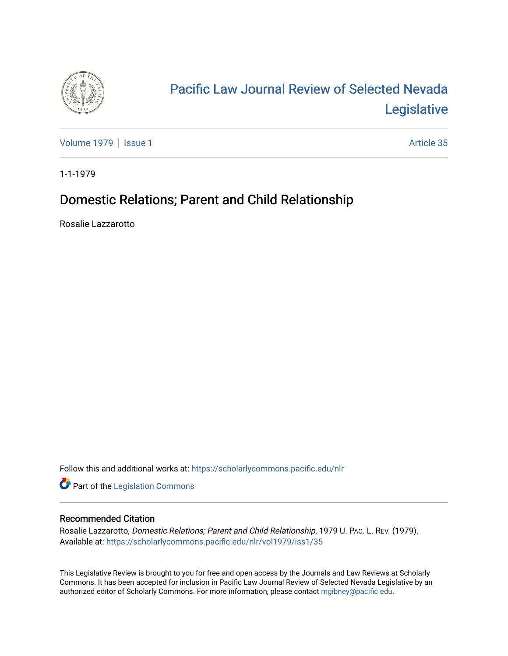

# [Pacific Law Journal Review of Selected Nevada](https://scholarlycommons.pacific.edu/nlr)  [Legislative](https://scholarlycommons.pacific.edu/nlr)

[Volume 1979](https://scholarlycommons.pacific.edu/nlr/vol1979) | [Issue 1](https://scholarlycommons.pacific.edu/nlr/vol1979/iss1) Article 35

1-1-1979

## Domestic Relations; Parent and Child Relationship

Rosalie Lazzarotto

Follow this and additional works at: [https://scholarlycommons.pacific.edu/nlr](https://scholarlycommons.pacific.edu/nlr?utm_source=scholarlycommons.pacific.edu%2Fnlr%2Fvol1979%2Fiss1%2F35&utm_medium=PDF&utm_campaign=PDFCoverPages) 

**Part of the [Legislation Commons](http://network.bepress.com/hgg/discipline/859?utm_source=scholarlycommons.pacific.edu%2Fnlr%2Fvol1979%2Fiss1%2F35&utm_medium=PDF&utm_campaign=PDFCoverPages)** 

## Recommended Citation

Rosalie Lazzarotto, Domestic Relations; Parent and Child Relationship, 1979 U. PAC. L. REV. (1979). Available at: [https://scholarlycommons.pacific.edu/nlr/vol1979/iss1/35](https://scholarlycommons.pacific.edu/nlr/vol1979/iss1/35?utm_source=scholarlycommons.pacific.edu%2Fnlr%2Fvol1979%2Fiss1%2F35&utm_medium=PDF&utm_campaign=PDFCoverPages)

This Legislative Review is brought to you for free and open access by the Journals and Law Reviews at Scholarly Commons. It has been accepted for inclusion in Pacific Law Journal Review of Selected Nevada Legislative by an authorized editor of Scholarly Commons. For more information, please contact [mgibney@pacific.edu](mailto:mgibney@pacific.edu).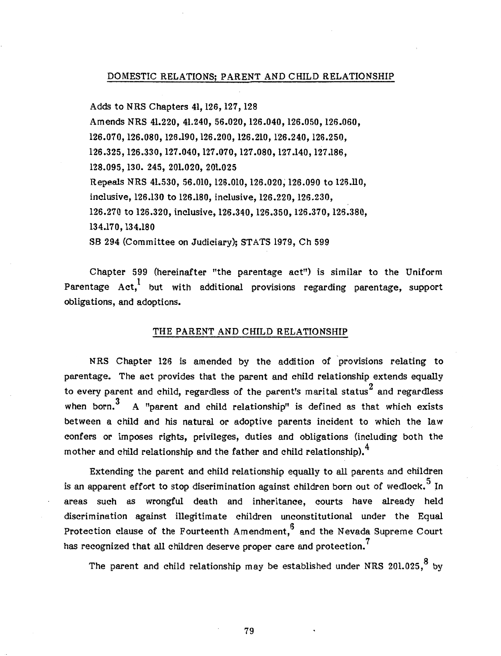#### DOMESTIC RELATIONS; PARENT AND CHILD RELATIONSHIP

Adds to NRS Chapters 41, 126, 127, 128 Amends NRS 41.220, 41.240, 56.020, 126.040, 126.050, 126.060, 126.070, 126.080, 126.190, 126.200, 126.210, 126.240, 126.250, 126.325, 126.330, 127.040, 127.070, 127.080, 127.140, 127.186, 128.095, 130. 245, 201.020, 201.025 Repeals NRS 41.530, 56.010, 126.010, 126.020; 126.090 to 126.ll0, inclusive, 126.130 to 126.180, inclusive, 126.220, 126.230, 126.270 to 126.320, inclusive, 126.340, 126.350, 126.370, 126.380, 134.170, 134.180 SB 294 (Committee on Judiciary); STATS 1979, Ch 599

Chapter 599 (hereinafter "the parentage act") is similar to the Uniform Parentage  $Act<sup>1</sup>$  but with additional provisions regarding parentage, support obligations, and adoptions.

#### THE PARENT AND CHILD RELATIONSHIP

NRS Chapter 126 is amended by the addition of provisions relating to parentage. The act provides that the parent and child relationship extends equally to every parent and child, regardless of the parent's marital status $^2$  and regardless when born.<sup>3</sup> A "parent and child relationship" is defined as that which exists between a child and his natural or adoptive parents incident to which the law confers or imposes rights, privileges, duties and obligations (including both the mother and child relationship and the father and child relationship).<sup>4</sup>

Extending the parent and child relationship equally to all parents and children is an apparent effort to stop discrimination against children born out of wedlock.<sup>5</sup> In areas such as wrongful death and inheritance, courts have already held discrimination against illegitimate children unconstitutional under the Equal Protection clause of the Fourteenth Amendment, $6$  and the Nevada Supreme Court has recognized that all children deserve proper care and protection.<sup>7</sup>

The parent and child relationship may be established under NRS 201.025,  $8$  by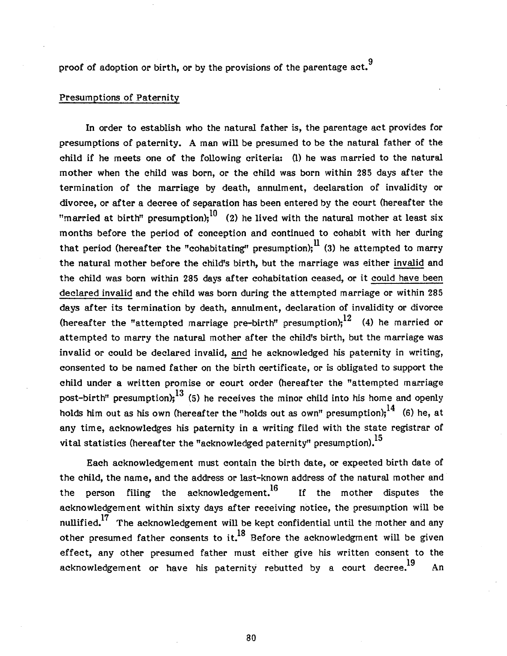proof of adoption or birth, or by the provisions of the parentage act.<sup>9</sup>

## Presumptions of Paternity

In order to establish who the natural father is, the parentage act provides for presumptions of paternity. A man will be presumed to be the natural father of the child if he meets one of the following criteria: (1) he was married to the natural mother when the child was born, or the child was born within 285 days after the termination of the marriage by death, annulment, declaration of invalidity or divorce, or after a decree of separation has been entered by the court (hereafter the "married at birth" presumption);<sup>10</sup> (2) he lived with the natural mother at least six months before the period of conception and continued to cohabit with her during that period (hereafter the "cohabitating" presumption);  $\frac{11}{1}$  (3) he attempted to marry the natural mother before the child's birth, but the marriage was either invalid and the child was born within 285 days after cohabitation ceased, or it could have been declared invalid and the child was born during the attempted marriage or within 285 days after its termination by death, annulment, declaration of invalidity or divorce (hereafter the "attempted marriage pre-birth" presumption);<sup>12</sup> (4) he married or attempted to marry the natural mother after the child's birth, but the marriage was invalid or could be declared invalid, and he acknowledged his paternity in writing, consented to be named father on the birth certificate, or is obligated to support the child under a written promise or court order (hereafter the "attempted marriage post-birth" presumption);<sup>13</sup> (5) he receives the minor child into his home and openly holds him out as his own (hereafter the "holds out as own" presumption);<sup>14</sup> (6) he, at any time, acknowledges his paternity in a writing filed with the state registrar of vital statistics (hereafter the "acknowledged paternity" presumption).<sup>15</sup>

Each acknowledgement must contain the birth date, or expected birth date of the child, the name, and the address or last-known address of the natural mother and the person filing the acknowledgement.<sup>16</sup> If the mother disputes the acknowledgement within sixty days after receiving notice, the presumption will be nullified.<sup>17</sup> The acknowledgement will be kept confidential until the mother and any other presumed father consents to it.<sup>18</sup> Before the acknowledgment will be given effect, any other presumed father must either give his written consent to the acknowledgement or have his paternity rebutted by a court decree.<sup>19</sup> An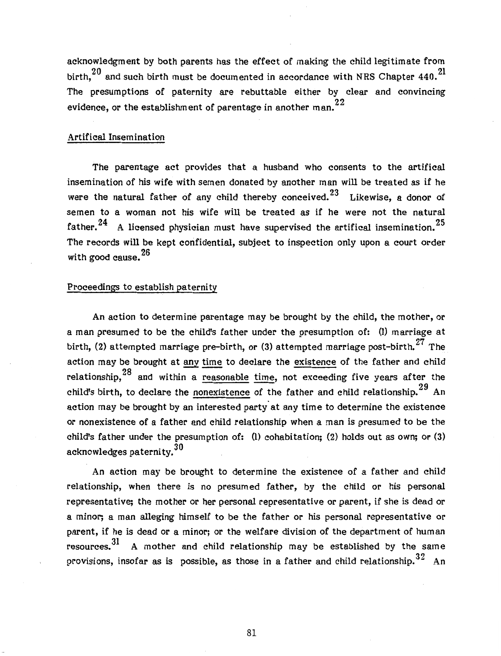acknowledgment by both parents has the effect of making the child legitimate from birth.  $^{20}$  and such birth must be documented in accordance with NRS Chapter 440.  $^{21}$ The presumptions of paternity are rebuttable either by clear and convincing evidence, or the establishment of parentage in another man. $^{22}$ 

## Artifical Insemination

The parentage act provides that a husband who consents to the artifical insemination of his wife with semen donated by another man will be treated as if he were the natural father of any child thereby conceived.<sup>23</sup> Likewise, a donor of semen to a woman not his wife will be treated as if he were not the natural father.<sup>24</sup> A licensed physician must have supervised the artifical insemination.<sup>25</sup> The records will be kept confidential, subject to inspection only upon a court order with good cause. 26

## Proceedings to establish paternity

An action to determine parentage may be brought by the child, the mother, or a man presumed to be the child's father under the presumption of: (1) marriage at birth, (2) attempted marriage pre-birth, or (3) attempted marriage post-birth.<sup>27</sup> The action may be brought at any time to declare the existence of the father and child relationship.  $28$  and within a reasonable time, not exceeding five years after the child's birth, to declare the nonexistence of the father and child relationship.<sup>29</sup> An action may be brought by an interested party at any time to determine the existence or nonexistence of a father and child relationship when a man is presumed to be the child's father under the presumption of: (1) cohabitation; (2) holds out as own; or (3) acknowledges paternity. 30

An action may be brought to determine the existence of a father and child relationship, when there is no presumed father, by the child or his personal representative; the mother or her personal representative or parent, if she is dead or a minor; a man alleging himself to be the father or his personal representative or parent, if he is dead or a minor; or the welfare division of the department of human resources.<sup>31</sup> A mother and child relationship may be established by the same provisions, insofar as is possible, as those in a father and child relationship.<sup>32</sup> An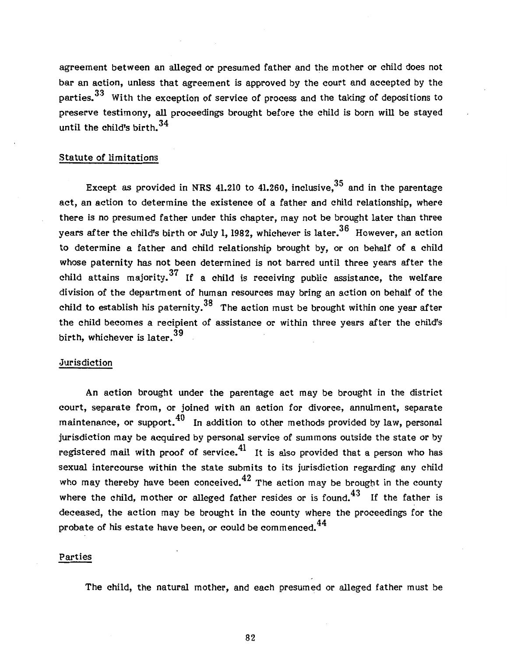agreement between an alleged or presumed father and the mother or child does not bar an action, unless that agreement is approved by the court and accepted by the parties.<sup>33</sup> With the exception of service of process and the taking of depositions to preserve testimony, all proceedings brought before the child is born will be stayed until the child's birth. $^{34}$ 

#### Statute of limitations

Except as provided in NRS 41.210 to 41.260, inclusive,  $35$  and in the parentage act, an action to determine the existence of a father and child relationship, where there is no presumed father under this chapter, may not be brought later than three vears after the child's birth or July 1, 1982, whichever is later.<sup>36</sup> However, an action to determine a father and child relationship brought by, or on behalf of a child whose paternity has not been determined is not barred until three years after the child attains majority.<sup>37</sup> If a child is receiving public assistance, the welfare division of the department of human resources may bring an action on behalf of the child to establish his paternity.<sup>38</sup> The action must be brought within one year after the child becomes a recipient of assistance or within three years after the child's birth, whichever is later.<sup>39</sup>

#### .Jurisdiction

An action brought under the parentage act may be brought in the district court, separate from, or joined with an action for divorce, annulment, separate maintenance, or support.<sup>40</sup> In addition to other methods provided by law, personal jurisdiction may be acquired by personal service of summons outside the state or by registered mail with proof of service.<sup>41</sup> It is also provided that a person who has sexual intercourse within the state submits to its jurisdiction regarding any child who may thereby have been conceived.  $42$  The action may be brought in the county where the child, mother or alleged father resides or is found. $43$  If the father is deceased, the action may be brought in the county where the proceedings for the probate of his estate have been, or could be commenced.<sup>44</sup>

#### Parties

The child, the natural mother, and each presumed or alleged father must be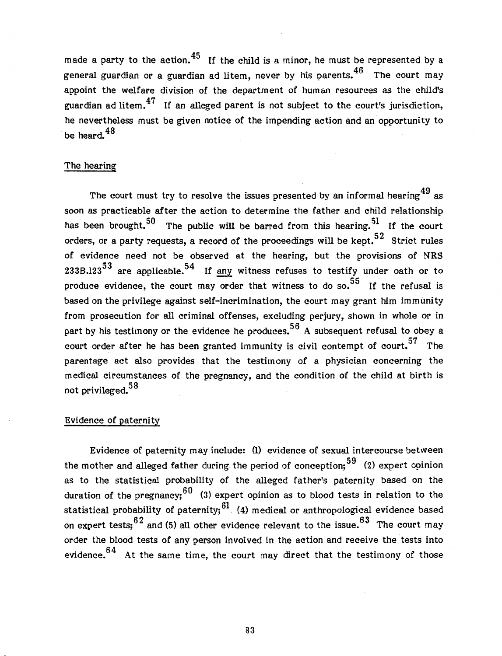made a party to the action.<sup>45</sup> If the child is a minor, he must be represented by a general guardian or a guardian ad litem, never by his parents.  $46$  The court may appoint the welfare division of the department of human resources as the child's guardian ad litem. $47$  If an alleged parent is not subject to the court's jurisdiction, he nevertheless must be given notice of the impending action and an opportunity to be heard.<sup>48</sup>

### The hearing

The court must try to resolve the issues presented by an informal hearing  $49$  as soon as practicable after the action to determine the father and child relationship has been brought.<sup>50</sup> The public will be barred from this hearing.<sup>51</sup> If the court orders, or a party requests, a record of the proceedings will be kept.<sup>52</sup> Strict rules of evidence need not be observed at the hearing, but the provisions of NRS 233B.123 $^{53}$  are applicable. $^{54}\;$  If <u>any</u> witness refuses to testify under oath or to produce evidence, the court may order that witness to do so. $^{55}\;$  If the refusal is based on the privilege against self-incrimination, the court may grant him immunity from prosecution for all criminal offenses, excluding perjury, shown in whole or in part by his testimony or the evidence he produces.<sup>56</sup> A subsequent refusal to obey a court order after he has been granted immunity is civil contempt of court.<sup>57</sup> The parentage act also provides that the testimony of a physician concerning the medical circumstances of the pregnancy, and the condition of the child at birth is not privileged.  $58$ 

#### Evidence of paternity

Evidence of paternity may include: (1) evidence of sexual intercourse between the mother and alleged father during the period of conception;  $59$  (2) expert opinion as to the statistical probability of the alleged father's paternity based on the duration of the pregnancy;<sup>60</sup> (3) expert opinion as to blood tests in relation to the statistical probability of paternity;  $61$  (4) medical or anthropological evidence based on expert tests;  $62$  and (5) all other evidence relevant to the issue.  $63$  The court may order the blood tests of any person involved in the action and receive the tests into evidence. $64$  At the same time, the court may direct that the testimony of those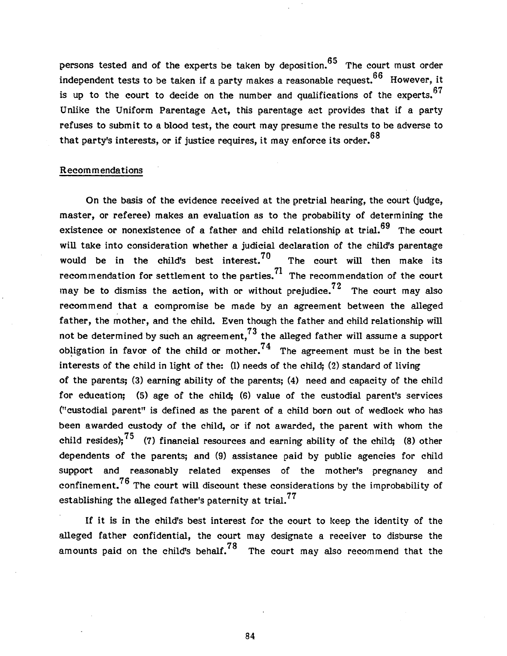persons tested and of the experts be taken by deposition.  $65$  The court must order independent tests to be taken if a party makes a reasonable request.  $66$  However, it is up to the court to decide on the number and qualifications of the experts.  $67$ Unlike the Uniform Parentage Act, this parentage act provides that if a party refuses to submit to a blood test, the court may presume the results to be adverse to that party's interests, or if justice requires, it may enforce its order. 68

#### Recommendations

On the basis of the evidence received at the pretrial hearing, the court (judge, master, or referee) makes an evaluation as to the probability of determining the existence or nonexistence of a father and child relationship at trial.  $69$  The court will take into consideration whether a judicial declaration of the child's parentage would be in the child's best interest.<sup>70</sup> The court will then make its recommendation for settlement to the parties.<sup>71</sup> The recommendation of the court may be to dismiss the action, with or without prejudice.<sup>72</sup> The court may also recommend that a compromise be made by an agreement between the alleged father, the mother, and the child. Even though the father and child relationship will not be determined by such an agreement,  $^{73}$  the alleged father will assume a support obligation in favor of the child or mother.<sup>74</sup> The agreement must be in the best interests of the child in light of the: (1) needs of the child; (2) standard of living of the parents; (3) earning ability of the parents; (4) need and capacity of the child for education; (5) age of the child; (6) value of the custodial parent's services ("custodial parent" is defined as the parent of a child born out of wedlock who has been awarded custody of the child, or if not awarded, the parent with whom the child resides);  $^{75}$  (7) financial resources and earning ability of the child; (8) other dependents of the parents; and (9) assistance paid by public agencies for child support and reasonably related expenses of the mother's pregnancy and confinement.<sup>76</sup> The court will discount these considerations by the improbability of establishing the alleged father's paternity at trial.<sup>77</sup>

If it is in the child's best interest for the court to keep the identity of the alleged father confidential, the court may designate a receiver to disburse the amounts paid on the child's behalf.<sup>78</sup> The court may also recommend that the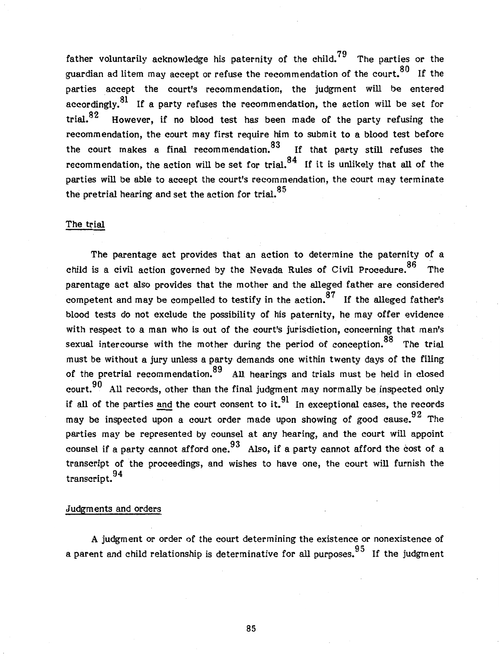father voluntarily acknowledge his paternity of the child.<sup>79</sup> The parties or the guardian ad litem may accept or refuse the recommendation of the court.  $80$  If the parties accept the court's recommendation, the judgment will be entered accordingly.<sup>81</sup> If a party refuses the recommendation, the action will be set for trial. $82$  However, if no blood test has been made of the party refusing the recommendation, the court may first require him to submit to a blood test before the court makes a final recommendation.<sup>83</sup> If that party still refuses the recommendation, the action will be set for trial,  $84$  If it is unlikely that all of the parties will be able to accept the court's recommendation, the court may terminate the pretrial hearing and set the action for trial.<sup>85</sup>

#### The trial

The parentage act provides that an action to determine the paternity of a child is a civil action governed by the Nevada Rules of Civil Procedure.<sup>86</sup> The parentage act also provides that the mother and the alleged father are considered competent and may be compelled to testify in the action.<sup>87</sup> If the alleged father's blood tests do not exclude the possibility of his paternity, he may offer evidence with respect to a man who is out of the court's jurisdiction, concerning that man's sexual intercourse with the mother during the period of conception.<sup>88</sup> The trial must be without a jury unless a party demands one within twenty days of the filing of the pretrial recommendation.<sup>89</sup> All hearings and trials must be held in closed court.  $90$  All records, other than the final judgment may normally be inspected only if all of the parties and the court consent to it.<sup>91</sup> In exceptional cases, the records may be inspected upon a court order made upon showing of good cause.  $92$  The parties may be represented by counsel at any hearing, and the court will appoint counsel if a party cannot afford one.<sup>93</sup> Also, if a party cannot afford the cost of a transcript of the proceedings, and wishes to have one, the court will furnish the  $transcript.94$ 

#### Judgments and orders

A judgment or order of the court determining the existence or nonexistence of a parent and child relationship is determinative for all purposes. $^{95}\,$  If the judgment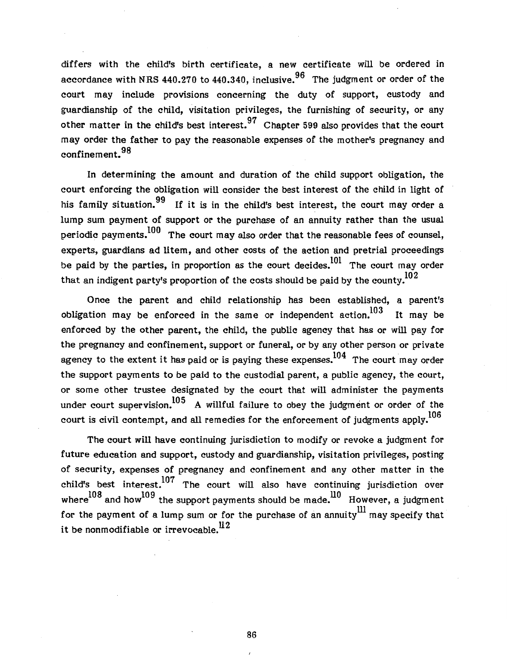differs with the child's birth certificate, a new certificate will be ordered in accordance with NRS 440.270 to 440.340, inclusive.  $96$  The judgment or order of the court may include provisions concerning the duty of support, custody and guardianship of the child, visitation privileges, the furnishing of security, or any other matter in the child's best interest.  $97$  Chapter 599 also provides that the court may order the father to pay the reasonable expenses of the mother's pregnancy and confinement. 98

In determining the amount and duration of the child support obligation, the court enforcing the obligation will consider the best interest of the child in light of his family situation.  $99\%$  If it is in the child's best interest, the court may order a lump sum payment of support or the purchase of an annuity rather than the usual periodic payments.  $100$  The court may also order that the reasonable fees of counsel, experts, guardians ad litem, and other costs of the action and pretrial proceedings be paid by the parties, in proportion as the court decides.<sup>101</sup> The court may order that an indigent party's proportion of the costs should be paid by the county.<sup>102</sup>

Once the parent and child relationship has been established, a parent's obligation may be enforced in the same or independent action. $^{103}$  It may be enforced by the other parent, the child, the public agency that has or will pay for the pregnancy and confinement, support or funeral, or by any other person or private agency to the extent it has paid or is paying these expenses.<sup>104</sup> The court may order the support payments to be paid to the custodial parent, a public agency, the court, or some other trustee designated by the court that will administer the payments under court supervision.  $105$  A willful failure to obey the judgment or order of the court is civil contempt, and all remedies for the enforcement of judgments apply.<sup>106</sup>

The court will have continuing jurisdiction to modify or revoke a judgment for future education and support, custody and guardianship, visitation privileges, posting of security, expenses of pregnancy and confinement and any other matter in the child's best interest.<sup>107</sup> The court will also have continuing jurisdiction over where  $108$  and how  $109$  the support payments should be made.  $10$  However, a judgment for the payment of a lump sum or for the purchase of an annuity<sup>III</sup> may specify that it be nonmodifiable or irrevocable.<sup>112</sup>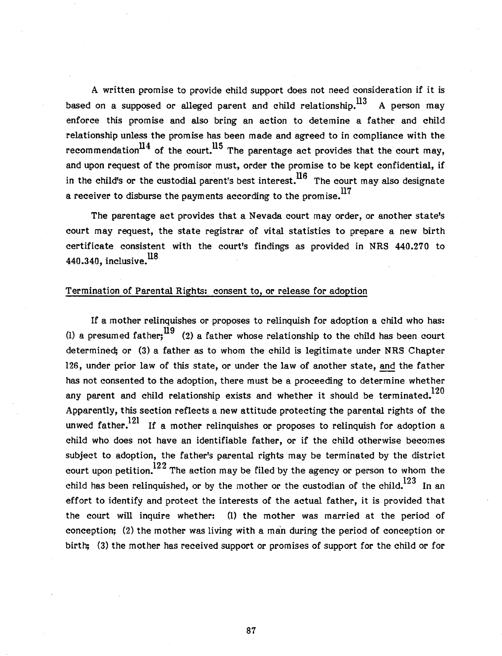A written promise to provide child support does not need consideration if it is based on a supposed or alleged parent and child relationship.  $^{113}$  A person may enforce this promise and also bring an action to detemine a father and child relationship unless the promise has been made and agreed to in compliance with the recommendation<sup>114</sup> of the court.<sup>115</sup> The parentage act provides that the court may, and upon request of the promisor must, order the promise to be kept confidential, if in the child's or the custodial parent's best interest.  $16$  The court may also designate a receiver to disburse the payments according to the promise.  $^{117}$ 

The parentage act provides that a Nevada court may order, or another state's court may request, the state registrar of vital statistics to prepare a new birth certificate consistent with the court's findings as provided in NRS 440.270 to 440.340, inclusive.  $^{18}$ 

## Termination of Parental Rights: consent to, or release for adoption

If a mother relinquishes or proposes to relinquish for adoption a child who has: (l) a presumed father;<sup>119</sup> (2) a father whose relationship to the child has been court determined; or (3) a father as to whom the child is legitimate under NRS Chapter 126, under prior law of this state, or under the law of another state, and the father has not consented to the adoption, there must be a proceeding to determine whether any parent and child relationship exists and whether it should be terminated.<sup>120</sup> Apparently, this section reflects a new attitude protecting the parental rights of the unwed father.<sup>121</sup> If a mother relinquishes or proposes to relinquish for adoption a child who does not have an identifiable father, or if the child otherwise becomes subject to adoption, the father's parental rights may be terminated by the district court upon petition.<sup>122</sup> The action may be filed by the agency or person to whom the child has been relinquished, or by the mother or the custodian of the child.<sup>123</sup> In an effort to identify and protect the interests of the actual father, it is provided that the court will inquire whether: (1) the mother was married at the period of conception; (2) the mother was living with a man during the period of conception or birth; (3) the mother has received support or promises of support for the child or for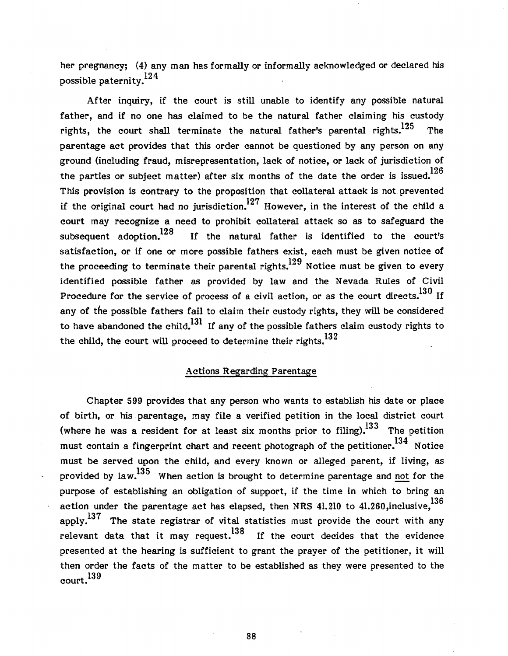her pregnancy; (4) any man has formally or informally acknowledged or declared his possible paternity.<sup>124</sup>

After inquiry, if the court is still unable to identify any possible natural father, and if no one has claimed to be the natural father claiming his custody rights, the court shall terminate the natural father's parental rights. $^{125}$  The parentage act provides that this order cannot be questioned by any person on any ground (including fraud, misrepresentation, lack of notice, or lack of jurisdiction of the parties or subject matter) after six months of the date the order is issued.<sup>126</sup> This provision is contrary to the proposition that collateral attack is not prevented if the original court had no jurisdiction.<sup>127</sup> However, in the interest of the child a court may recognize a need to prohibit collateral attack so as to safeguard the subsequent adoption.<sup>128</sup> If the natural father is identified to the court's satisfaction, or if one or more possible fathers exist, each must be given notice of the proceeding to terminate their parental rights.<sup>129</sup> Notice must be given to every identified possible father as provided by law and the Nevada Rules of Civil Procedure for the service of process of a civil action, or as the court directs.<sup>130</sup> If any of the possible fathers fail to claim their custody rights, they will be considered to have abandoned the child.<sup>131</sup> If any of the possible fathers claim custody rights to the child, the court will proceed to determine their rights.<sup>132</sup>

## Actions Regarding Parentage

Chapter 599 provides that any person who wants to establish his date or place of birth, or his. parentage, may file a verified petition in the local district court (where he was a resident for at least six months prior to filing).<sup>133</sup> The petition must contain a fingerprint chart and recent photograph of the petitioner.<sup>134</sup> Notice must be served upon the child, and every known or alleged parent, if living, as provided by law.<sup>135</sup> When action is brought to determine parentage and not for the purpose of establishing an obligation of support, if the time in which to bring an action under the parentage act has elapsed, then NRS  $41.210$  to  $41.260$ , inclusive,  $^{136}$ apply.<sup>137</sup> The state registrar of vital statistics must provide the court with any relevant data that it may request.<sup>138</sup> If the court decides that the evidence presented at the hearing is sufficient to grant the prayer of the petitioner, it will then order the facts of the matter to be established as they were presented to the court.<sup>139</sup>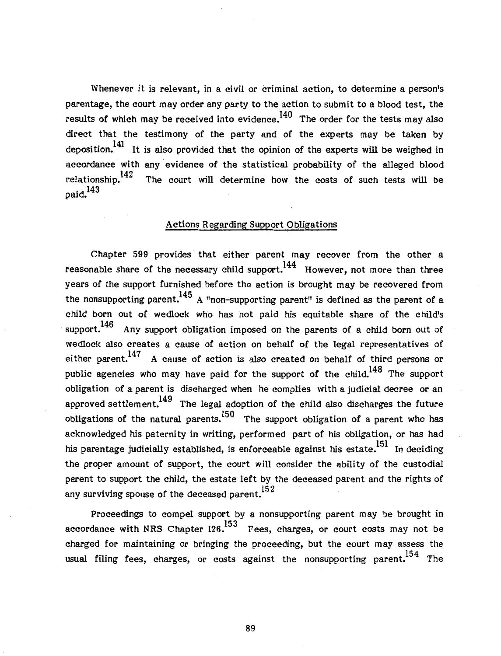Whenever it is relevant, in a civil or criminal action, to determine a person's parentage, the court may order any party to the action to submit to a blood test, the results of which may be received into evidence.<sup>140</sup> The order for the tests may also direct that the testimony of the party and of the experts may be taken by deposition.<sup>141</sup> It is also provided that the opinion of the experts will be weighed in accordance with any evidence of the statistical probability of the alleged blood relationship.<sup>142</sup> The court will determine how the costs of such tests will be  $paid.<sup>143</sup>$ 

## Actions Regarding Support Obligations

Chapter 599 provides that either parent may recover from the other a reasonable share of the necessary child support.<sup>144</sup> However, not more than three years of the support furnished before the action is brought may be recovered from the nonsupporting parent.<sup>145</sup> A "non-supporting parent" is defined as the parent of a child born out of wedlock who has not paid his equitable share of the child's support.<sup>146</sup> Any support obligation imposed on the parents of a child born out of wedlock also creates a cause of action on behalf of the legal representatives of either parent.<sup>147</sup> A cause of action is also created on behalf of third persons or public agencies who may have paid for the support of the child.<sup>148</sup> The support obligation of a parent is discharged when he complies with a judicial decree or an approved settlement.<sup>149</sup> The legal adoption of the child also discharges the future obligations of the natural parents.<sup>150</sup> The support obligation of a parent who has acknowledged his paternity in writing, performed part of his obligation, or has had his parentage judicially established, is enforceable against his estate.<sup>151</sup> In deciding the proper amount of support, the court will consider the ability of the custodial parent to support the child, the estate left by the deceased parent and the rights of any surviving spouse of the deceased parent.<sup>152</sup>

Proceedings to compel support by a nonsupporting parent may be brought in accordance with NRS Chapter 126.<sup>153</sup> Fees, charges, or court costs may not be charged for maintaining or bringing the proceeding, but the court may assess the usual filing fees, charges, or costs against the nonsupporting parent.<sup>154</sup> The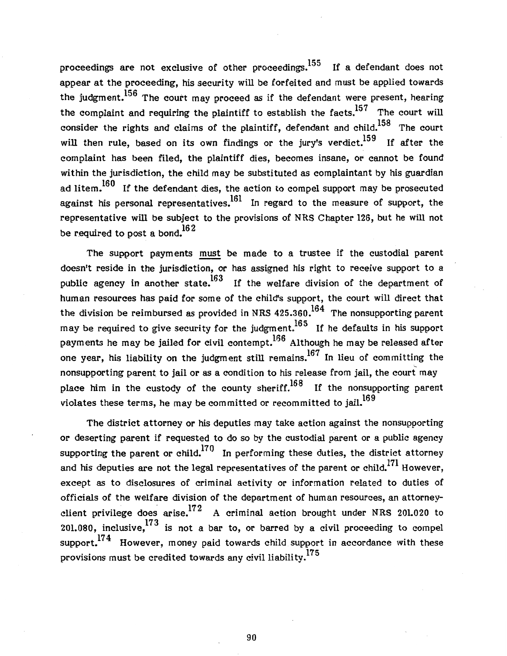proceedings are not exclusive of other proceedings.<sup>155</sup> If a defendant does not appear at the proceeding, his security will be forfeited and must be applied towards the judgment.<sup>156</sup> The court may proceed as if the defendant were present, hearing the complaint and requiring the plaintiff to establish the facts.<sup>157</sup> The court will consider the rights and claims of the plaintiff, defendant and child.<sup>158</sup> The court will then rule, based on its own findings or the jury's verdict.<sup>159</sup> If after the complaint has been filed, the plaintiff dies, becomes insane, or cannot be found within the jurisdiction, the child may be substituted as complaintant by his guardian ad litem.<sup>160</sup> If the defendant dies, the action to compel support may be prosecuted against his personal representatives.<sup>161</sup> In regard to the measure of support, the representative will be subject to the provisions of NRS Chapter 126, but he will not be required to post a bond.  $162$ 

The support payments must be made to a trustee if the custodial parent doesn't reside in the jurisdiction, or has assigned his right to receive support to a public agency in another state.<sup>163</sup> If the welfare division of the department of human resources has paid for some of the child's support, the court will direct that the division be reimbursed as provided in NRS  $425.360.^{164}$  The nonsupporting parent may be required to give security for the judgment.<sup>165</sup> If he defaults in his support payments he may be jailed for civil contempt.<sup>166</sup> Although he may be released after one year, his liability on the judgment still remains.<sup>167</sup> In lieu of committing the nonsupporting parent to jail or as a condition to his release from jail, the court may place him in the custody of the county sheriff.  $168$  If the nonsupporting parent violates these terms, he may be committed or recommitted to jail.<sup>169</sup>

The district attorney or his deputies may take action against the nonsupporting or deserting parent if requested to do so by the custodial parent or a public agency supporting the parent or child.<sup>170</sup> In performing these duties, the district attorney and his deputies are not the legal representatives of the parent or child.<sup>171</sup> However, except as to disclosures of criminal activity or information related to duties of officials of the welfare division of the department of human resources, an attorneyclient privilege does arise.<sup>172</sup> A criminal action brought under NRS 201.020 to 201.080, inclusive,  $^{173}$  is not a bar to, or barred by a civil proceeding to compel support.<sup>174</sup> However, money paid towards child support in accordance with these provisions must be credited towards any civil liability.<sup>175</sup>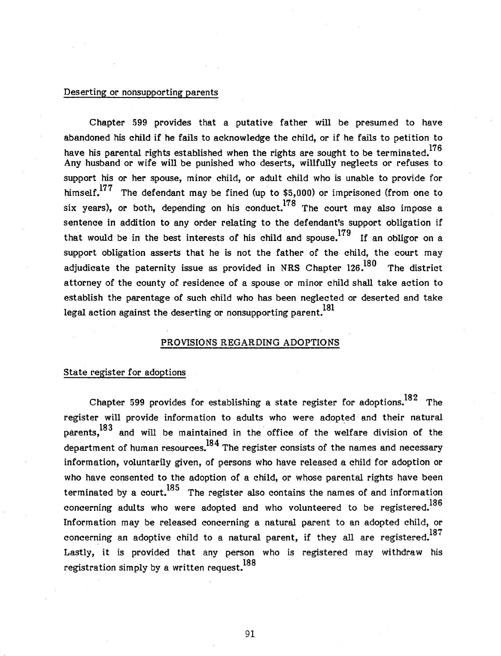#### Deserting or nonsupporting parents

Chapter 599 provides that a putative father will be presumed to have abandoned his child if he fails to acknowledge the child, or if he fails to petition to have his parental rights established when the rights are sought to be terminated.<sup>176</sup> Any husband or wife will be punished who deserts, willfully neglects or refuses to support his or her spouse, minor child, or adult child who is unable to provide for himself. $177$  The defendant may be fined (up to \$5,000) or imprisoned (from one to six years), or both, depending on his conduct.<sup>178</sup> The court may also impose a sentence in addition to any order relating to the defendant's support obligation if that would be in the best interests of his child and spouse.<sup>179</sup> If an obligor on a support obligation asserts that he is not the father of the child, the court may adjudicate the paternity issue as provided in NRS Chapter  $126.180$  The district attorney of the county of residence of a spouse or minor child shall take action to establish the parentage of such child who has been neglected or deserted and take legal action against the deserting or nonsupporting parent.<sup>181</sup>

#### PROVISIONS REGARDING ADOPTIONS

#### State register for adoptions

Chapter 599 provides for establishing a state register for adoptions.<sup>182</sup> The register will provide information to adults who were adopted and their natural parents, $^{183}$  and will be maintained in the office of the welfare division of the department of human resources. $^{184}$  The register consists of the names and necessary information, voluntarily given, of persons who have released a child for adoption or who have consented to the adoption of a child, or whose parental rights have been terminated by a court.<sup>185</sup> The register also contains the names of and information concerning adults who were adopted and who volunteered to be registered.<sup>186</sup> Information may be released concerning a natural parent to an adopted child, or concerning an adoptive child to a natural parent, if they all are registered.<sup>187</sup> Lastly, it is provided that any person who is registered may withdraw his <sup>188</sup> registration simply by a written request.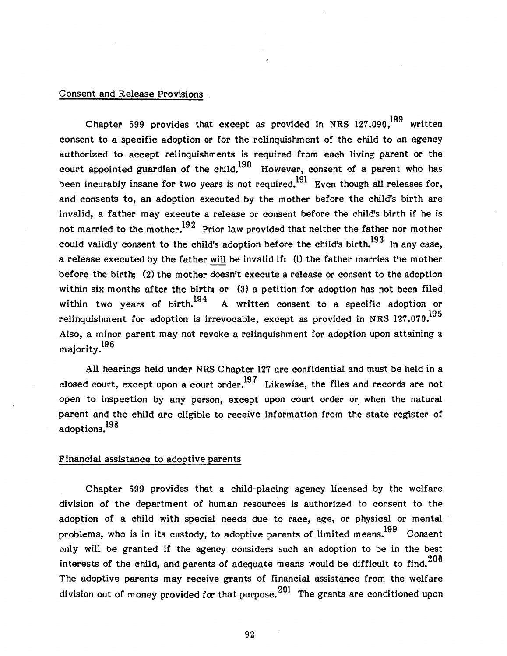## Consent and Release Provisions

Chapter 599 provides that except as provided in NRS  $127.090$ ,  $^{189}$  written consent to a specific adoption or for the relinquishment of the child to an agency authorized to accept relinquishments is required from each living parent or the court appointed guardian of the child.<sup>190</sup> However, consent of a parent who has been incurably insane for two years is not required.<sup>191</sup> Even though all releases for, and consents to, an adoption executed by the mother before the child's birth are invalid, a father may execute a release or consent before the child's birth if he is not married to the mother.<sup>192</sup> Prior law provided that neither the father nor mother could validly consent to the child's adoption before the child's birth.<sup>193</sup> In any case. a release executed by the father will be invalid if: (1) the father marries the mother before the birth; (2) the mother doesn't execute a release or consent to the adoption within six months after the birth; or (3) a petition for adoption has not been filed within two vears of birth.<sup>194</sup> A written consent to a specific adoption or relinquishment for adoption is irrevocable, except as provided in NRS 127.070.<sup>195</sup> Also, a minor parent may not revoke a relinquishment for adoption upon attaining a majority.<sup>196</sup>

All hearings held under NRS Chapter 127 are confidential and must be held in a closed court, except upon a court order.<sup>197</sup> Likewise, the files and records are not open to inspection by any person, except upon court order or when the natural parent and the child are eligible to receive information from the state register of adoptions.<sup>198</sup>

### Financial assistance to adoptive parents

Chapter 599 provides that a child-placing agency licensed by the welfare division of the department of human resources is authorized to consent to the adoption of a child with special needs due to race, age, or physical or mental problems, who is in its custody, to adoptive parents of limited means.<sup>199</sup> Consent only will be granted if the agency considers such an adoption to be in the best interests of the child, and parents of adequate means would be difficult to find.<sup>200</sup> The adoptive parents may receive grants of financial assistance from the welfare division out of money provided for that purpose.  $201$  The grants are conditioned upon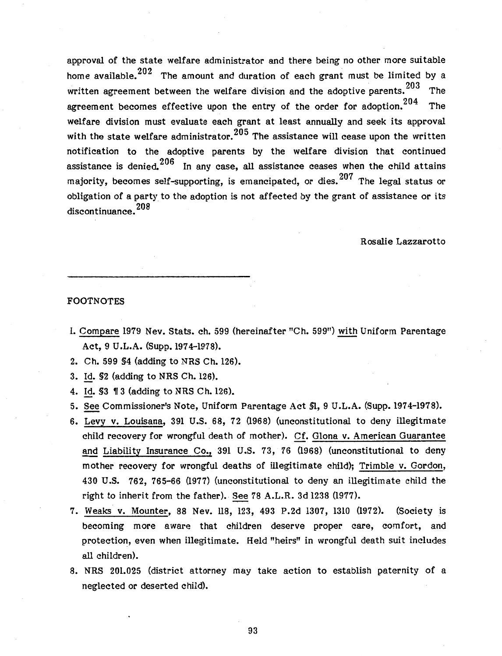approval of the state welfare administrator and there being no other more suitable home available.  $202$  The amount and duration of each grant must be limited by a written agreement between the welfare division and the adoptive parents.<sup>203</sup> The agreement becomes effective upon the entry of the order for adoption.  $204$  The welfare division must evaluate each grant at least annually and seek its approval with the state welfare administrator.  $205$  The assistance will cease upon the written notification to the adoptive parents by the welfare division that continued assistance is denied.  $206$  In any case, all assistance ceases when the child attains majority, becomes self-supporting, is emancipated, or dies. 207 The legal status or obligation of a party to the adoption is not affected by the grant of assistance or its discontinuance.<sup>208</sup>

Rosalie Lazzarotto

#### FOOTNOTES

- 1. Compare 1979 Nev. Stats. ch. 599 (hereinafter "Ch. 599") with Uniform Parentage Act, 9 U.L.A. (Supp.l974-1978).
- 2. Ch. 599 §4 (adding to NRS Ch. 126).
- 3. Id. §2 (adding to NRS Ch. 126).
- 4. Id. \$3 13 (adding to NRS Ch. 126).
- 5. See Commissioner's Note, Uniform Parentage Act §1, 9 U.L.A. (Supp. 1974-1978).
- 6. Levy v. Louisana, 391 U.S. 68, 72 (1968) (unconstitutional to deny illegitmate child recovery for wrongful death of mother). Cf. Glona v. American Guarantee and Liability Insurance Co., 391 U.S. 73, 76 (1968) (unconstitutional to deny mother recovery for wrongful deaths of illegitimate child); Trimble v. Gordon, 430 U.S. 762, 765-66 (1977) (unconstitutional to deny an illegitimate child the right to inherit from the father). See 78 A.L.R. 3d 1238 (1977).
- 7. Weaks v. Mounter, 88 Nev. ll8, 123, 493 P.2d 1307, 1310 (1972). (Society is becoming more aware that children deserve proper care, comfort, and protection, even when illegitimate. Held "heirs" in wrongful death suit includes all children).
- 8. NRS 201.025 (district attorney may take action to establish paternity of a neglected or deserted child).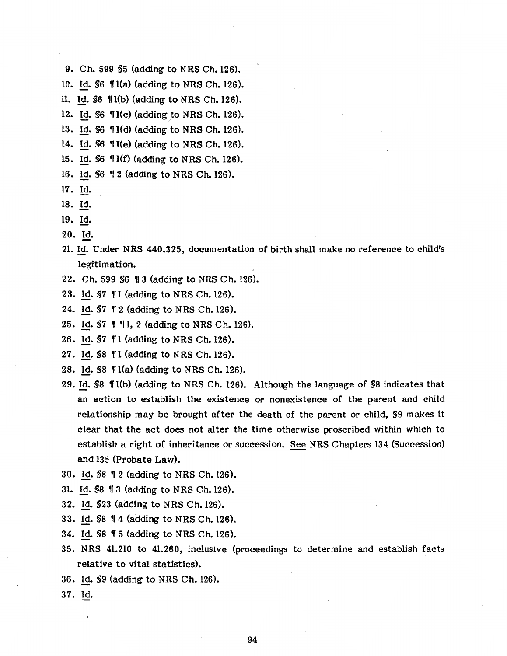- 9. Ch. 599 §5 (adding to NRS Ch. 126).
- 10. Id.  $$6$   $$1(a)$  (adding to NRS Ch. 126).
- 11. Id.  $$6$   $$1(b)$  (adding to NRS Ch. 126).

12. Id.  $$6$   $\Pi(c)$  (adding to NRS Ch. 126).

13. Id. \$6  $\P1(d)$  (adding to NRS Ch. 126).

14. Id. §6 'l(e) (adding to NRS Ch. 126).

15. Id. \$6 1(f) (adding to NRS Ch. 126).

- 16. Id. §6 12 (adding to NRS Ch. 126).
- 17. Id.
- 18. Id.
- 19. Id.
- 20. Id.
- 21. Id. Under NRS 440.325, documentation of birth shall make no reference to child's legitimation.
- 22. Ch. 599 \$6 13 (adding to NRS Ch. 126).
- 23. Id. §7  $\P$ 1 (adding to NRS Ch. 126).
- 24. Id. §7 1f 2 (adding to NRS Ch. 126).
- 25. Id.  $$7 \text{ } 11, 2$  (adding to NRS Ch. 126).
- 26. Id. §7 '1 (adding to NRS Ch. 126).
- 27. Id. \$8  $\P$ 1 (adding to NRS Ch. 126).
- 28. Id.  $$8 \text{ } \mathbb{1}(a)$  (adding to NRS Ch. 126).
- 29. Id. §8 ¶1(b) (adding to NRS Ch. 126). Although the language of §8 indicates that an action to establish the existence or nonexistence of the parent and child relationship may be brought after the death of the parent or child, §9 makes it clear that the act does not alter the time otherwise proscribed within which to establish a right of inheritance or succession. See NRS Chapters 134 (Succession) and 135 (Probate Law).
- 30. Id. §8 ¶ 2 (adding to NRS Ch. 126).
- 31. Id. §8 1f 3 (adding to NRS Ch. 126).
- 32. Id. §23 (adding to NRS Ch. 126).
- 33. Id. §8 1f 4 (adding to NRS Ch. 126).
- 34. Id. §8 '5 (adding to NRS Ch. 126).
- 35. NRS 41.210 to 41.260, inclusive (proceedings to determine and establish facts relative to vital statistics).
- 36. Id. §9 (adding to NRS Ch. 126).
- 37. Id.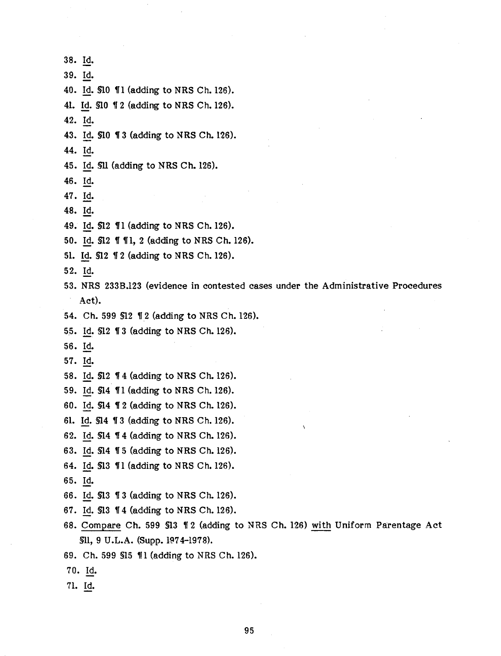38. ld. 39. Id. 40. Id. \$10 11 (adding to NRS Ch. 126). 41. Id. \$10 12 (adding to NRS Ch. 126). 42. Id. 43. Id. \$10 13 (adding to NRS Ch. 126). 44. Id. 45. ld. §U (adding to NRS Ch. 126). 46. Id. 47. Id. 48. Id. 49. Id. \$12  $\P$ 1 (adding to NRS Ch. 126). 50. Id. \$12 11, 2 (adding to NRS Ch. 126). 51. Id. \$12 12 (adding to NRS Ch. 126). 52. Id. 53. NRS 233B.123 (evidence in contested cases under the Administrative Procedures Act). 54. Ch. 599 \$12 12 (adding to NRS Ch. 126). 5.5. Id. §12 11 3 (adding to NRS Ch. 126). 56. Id. 57. Id. 58. Id. \$12 14 (adding to NRS Ch. 126). 59. Id. \$14 11 (adding to NRS Ch. 126). 60. Id. \$14 12 (adding to NRS Ch. 126). 61. Id. §14 11 3 (adding to NRS Ch. 126). 62. Id.  $$14$   $$4$  (adding to NRS Ch. 126). 63. Id. \$14 15 (adding to NRS Ch. 126). 64. Id. \$13 \\ \\ 11 (adding to NRS Ch. 126). 65. Id. 66. Id. §13 11 3 (adding to NRS Ch. 126). 67. Id. §13 114 (adding to NRS Ch. 126). 68. Compare Ch. 599 \$13 12 (adding to NRS Ch. 126) with Uniform Parentage Act §11, 9 U.L.A. (Supp. 1974-1978). 69. Ch. 599 \$15 11 (adding to NRS Ch. 126). 70. Id.

71. Id.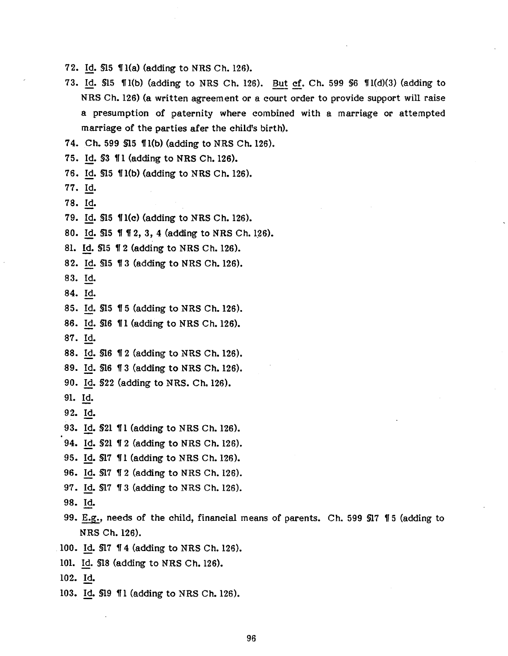- 72. Id.  $$15 \text{ } 1(a)$  (adding to NRS Ch. 126).
- 73. Id. \$15 ¶1(b) (adding to NRS Ch. 126). But cf. Ch. 599 §6 ¶1(d)(3) (adding to NRS Ch. 126) (a written agreement or a court order to provide support will raise a presumption of paternity where combined with a marriage or attempted marriage of the parties afer the child's birth).

7 4. Ch. 599 §15 1f l(b) (adding to NRS Ch. 126).

- 75. Id. \$3  $\P$ 1 (adding to NRS Ch. 126).
- 76. Id. \$15  $\P$ 1(b) (adding to NRS Ch. 126).
- 77. Id.
- 78. Id.
- 79. Id. \$15  $\P$ 1(c) (adding to NRS Ch. 126).
- 80. Id. §15 1f 1f 2, 3, 4 (adding to NRS Ch. 126).

81. Id. \$15 12 (adding to NRS Ch. 126).

- 82. Id. \$15 1 3 (adding to NRS Ch. 126).
- 83. Id.
- 84. Id.
- 85. Id. §15 1f 5 (adding to NRS Ch. 126).
- 86. Id. \$16 11 (adding to NRS Ch. 126).
- 87. Id.
- 88. Id. \$16 12 (adding to NRS Ch. 126).
- 89. Id. §16 1f 3 (adding to NRS Ch. 126).
- 90. Id. §22 (adding to NRS. Ch. 126).
- 91. Id.
- 92. Id.
- 93. Id. \$21 11 (adding to NRS Ch. 126).
- 94. Id. §21 1f 2 (adding to NRS Ch. 126).
- 95. Id. \$17 11 (adding to NRS Ch. 126).
- 96. Id. \$17 12 (adding to NRS Ch. 126).
- 97. Id. \$17 13 (adding to NRS Ch. 126).
- 98. Id.
- 99. E.g., needs of the child, financial means of parents. Ch. 599 \$17 15 (adding to NRS Ch. 126).
- 100. Id. \$17 14 (adding to NRS Ch. 126).
- 101. Id. §18 (adding to NRS Ch. 126).
- 102. Id.
- 103. Id. \$19 11 (adding to NRS Ch. 126).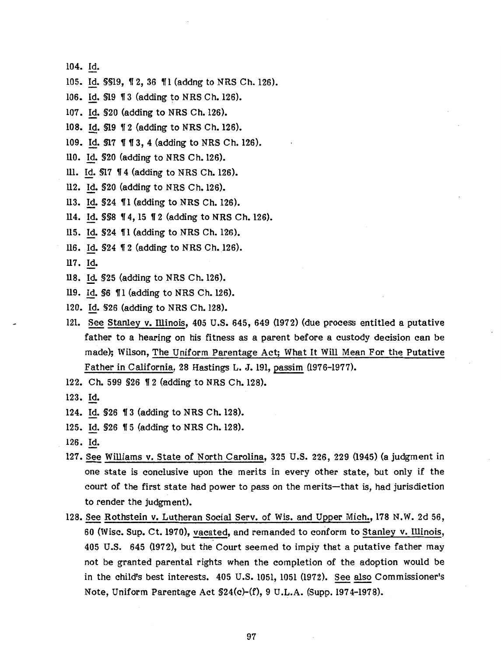104. Id.

105. Id. §§19, 12, 36 11 (addng to NRS Ch. 126).

106. Id. \$19 13 (adding to NRS Ch. 126).

107. Id. §20 (adding to NRS Ch. 126).

108. Id. \$19 12 (adding to NRS Ch. 126).

109. Id. \$17 113, 4 (adding to NRS Ch. 126).

llO. Id. §20 (adding to NRS Ch. 126).

- Ill. Id. \$17 14 (adding to NRS Ch. 126).
- ll2. Id. §20 (adding to NRS Ch. 126).
- 113. Id. §24 ¶1 (adding to NRS Ch. 126).
- ll4. Id. §§8 14, 15 12 (adding to NRS Ch. 126).
- 115. Id. §24 ¶1 (adding to NRS Ch. 126).
- 116. Id. §24 1 2 (adding to NRS Ch. 126).
- 117. ld.
- ll8. ld. §25 (adding to NRS Ch. 126).
- 119. Id. \$6 11 (adding to NRS Ch. 126).
- 120. Id. §26 (adding to NRS Ch. 128).
- 121. See Stanley v. Illinois, 405 U.S. 645, 649 (1972) (due process entitled a putative father to a hearing on his fitness as a parent before a custody decision can be made); Wilson, The Uniform Parentage Act; What It Will Mean For the Putative Father in California, 28 Hastings L. J. 191, passim (1976-1977).
- 122. Ch. 599 \$26 12 (adding to NRS Ch. 128).
- 123. Id.
- 124. Id. \$26 13 (adding to NRS Ch. 128).
- 125. Id. \$26 15 (adding to NRS Ch. 128).
- 126. Id.
- 127. See Williams v. State of North Carolina, 325 U.S. 226, 229 (1945) (a judgment in one state is conclusive upon the merits in every other state, but only if the court of the first state had power to pass on the merits-that is, had jurisdiction to render the judgment).
- 128. See Rothstein v. Lutheran Social Serv. of Wis. and Upper Mich., 178 N.W. 2d 56, 60 (Wise. Sup. Ct. 1970), vacated, and remanded to conform to Stanley v. Illinois, 405 U.S. 645 (1972), but the Court seemed to imply that a putative father may not be granted parental rights when the completion of the adoption would be in the child's best interests. 405 U.S. 1051, 1051 (1972). See also Commissioner's Note, Uniform Parentage Act §24(c)-(f), 9 U .L.A. (Supp. 197 4-1978).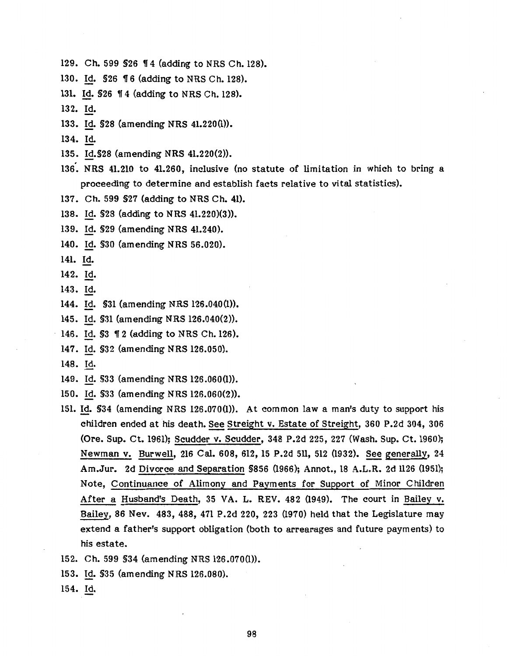- 129. Ch. 599 \$26 14 (adding to NRS Ch. 128).
- 130. Id. \$26 16 (adding to NRS Ch. 128).
- 131. Id. \$26 14 (adding to NRS Ch. 128).
- 132. Id.
- 133. Id. §28 {amending NRS 41.220(1)).
- 134. Id.
- 135. Id.§28 (amending NRS 41.220(2)).
- 136·. NRS 41.210 to 41.260, inclusive (no statute of limitation in which to bring a proceeding to determine and establish facts relative to vital statistics).
- 137. Ch. 599 §27 {adding to NRS Ch. 41).
- 138. Id. §28 (adding to NRS 41.220)(3)).
- 139. Id. §29 (amending NRS 41.240).
- 140. Id. §30 {amending NRS 56.020).
- 141. Id.
- 142. Id.
- 143. Id.
- 144. ld. §31 (amending NRS 126.040(1)).
- 145. Id. §31 (amending NRS 126.040(2)).
- 146. Id. \$3 12 (adding to NRS Ch. 126).
- 147. Id. §32 (amending NRS 126.050).
- 148. Id.
- 149. Id. §33 (amending NRS 126.060(1)).
- 150. Id. §33 (amending NRS 126.060(2)).
- 151. Id. §34 (amending NRS 126.070(1)). At common law a man's duty to support his children ended at his death. See Streight v. Estate of Streight, 360 P.2d 304, 306 (Ore. Sup. Ct. 1961); Scudder v. Scudder, 348 P.2d 225, 227 (Wash. Sup. Ct. 1960); Newman v. Burwell, 216 Cal. 608, 612, 15 P.2d 511, 512 (1932). See generally, 24 Am.Jur. 2d Divorce and Separation §856 (1966); Annot., 18 A.L.R. 2d 1126 (1951); Note, Continuance of Alimony and Payments for Support of Minor Children After a Husband's Death, 35 VA. L. REV. 482 (1949). The court in Bailey v. Bailey, 86 Nev. 483, 488, 471 P.2d 220, 223 (1970) held that the Legislature may extend a father's support obligation (both to arrearages and future payments) to his estate.
- 152. Ch. 599 §34 (amending NRS 126.070(1)).
- 153. Id. §35 (amending NRS 126.080).
- 154. Id.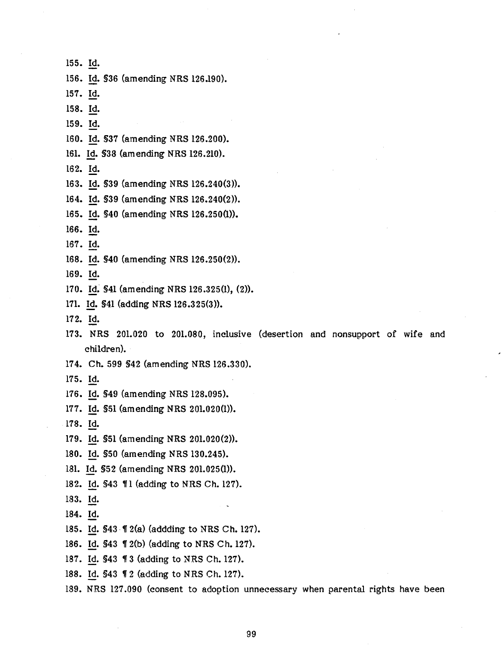155. Id. 156. Id. §36 (amending NRS 126.190). 157. Id. 158. Id. 159. Id. 160. Id. §37 (amending NRS 126.200). 161. Id. §38 (amending NRS 126.210). 162. Id. 163. Id. §39 (amending NRS 126.240(3)}. 164. Id. §39 (amending NRS 126.240(2)). 165. Id. §40 (amending NRS 126.250(1)). 166. Id. 167. Id. 168. Id. §40 (amending NRS 126.250(2)}. 169. Id. 170. Id. \$41 (amending NRS 126.325(1), (2)). 171. Id. §41 (adding NRS 126.325(3)). 172. Id. 173. NRS 201.020 to 201.080, inclusive (desertion and nonsupport of wife and children). 174. Ch. 599 §42 (amending NRS 126.330). 175. Id. 176. ld. §49 (amending NRS 128.095). 177. Id. §51 (amending NRS 201.020(1)). 178. Id. 179. Id. §51 (amending NRS 201.020(2)). 180. Id. §50 (amending NRS 130.245). 181. ld. §52 (amending NRS 201.025(1)). 182. Id. \$43 \,\| 1 (adding to NRS Ch. 127). 183. ld. 184. Id. 185. Id. \$43 *I* 2(a) (addding to NRS Ch. 127). 186. Id. \$43 12(b) (adding to NRS Ch. 127). 187. Id. \$43 11 3 (adding to NRS Ch. 127). 188. Id. \$43 12 (adding to NRS Ch. 127).

189. NRS 127.090 (consent to adoption unnecessary when parental rights have been